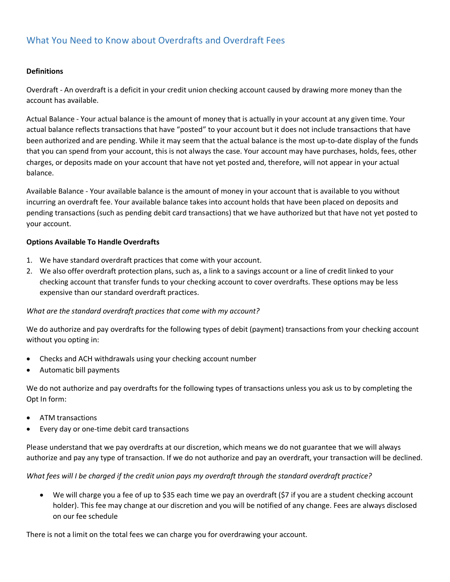# What You Need to Know about Overdrafts and Overdraft Fees

#### **Definitions**

Overdraft An overdraft is a deficit in your credit union checking account caused by drawing more money than the account has available.

Actual Balance Your actual balance is the amount of money that is actually in your account at any given time. Your actual balance reflects transactions that have "posted" to your account but it does not include transactions that have been authorized and are pending. While it may seem that the actual balance is the most up-to-date display of the funds that you can spend from your account, this is not always the case. Your account may have purchases, holds, fees, other charges, or deposits made on your account that have not yet posted and, therefore, will not appear in your actual balance.

Available Balance - Your available balance is the amount of money in your account that is available to you without incurring an overdraft fee. Your available balance takes into account holds that have been placed on deposits and pending transactions (such as pending debit card transactions) that we have authorized but that have not yet posted to your account.

#### **Options Available To Handle Overdrafts**

- 1. We have standard overdraft practices that come with your account.
- 2. We also offer overdraft protection plans, such as, a link to a savings account or a line of credit linked to your checking account that transfer funds to your checking account to cover overdrafts. These options may be less expensive than our standard overdraft practices.

#### *What are the standard overdraft practices that come with my account?*

We do authorize and pay overdrafts for the following types of debit (payment) transactions from your checking account without you opting in:

- � Checks and ACH withdrawals using your checking account number
- � Automatic bill payments

We do not authorize and pay overdrafts for the following types of transactions unless you ask us to by completing the Opt In form:

- � ATM transactions
- Every day or one-time debit card transactions

Please understand that we pay overdrafts at our discretion, which means we do not guarantee that we will always authorize and pay any type of transaction. If we do not authorize and pay an overdraft, your transaction will be declined.

*What fees will I be charged if the credit union pays my overdraft through the standard overdraft practice?* 

� We will charge you a fee of up to \$35 each time we pay an overdraft (\$7 if you are a student checking account holder). This fee may change at our discretion and you will be notified of any change. Fees are always disclosed on our fee schedule

There is not a limit on the total fees we can charge you for overdrawing your account.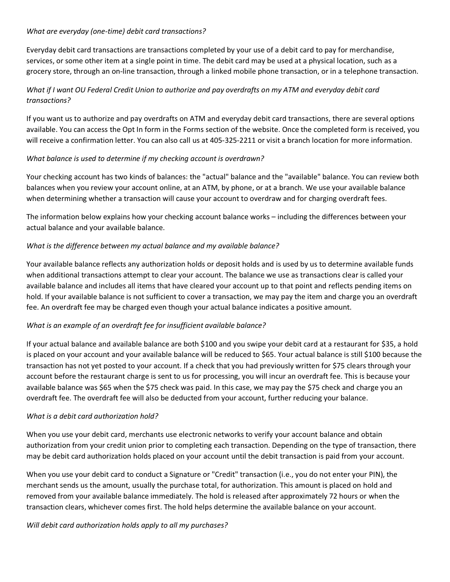#### *What are everyday (one-time) debit card transactions?*

Everyday debit card transactions are transactions completed by your use of a debit card to pay for merchandise, services, or some other item at a single point in time. The debit card may be used at a physical location, such as a grocery store, through an on-line transaction, through a linked mobile phone transaction, or in a telephone transaction.

# *What if I want OU Federal Credit Union to authorize and pay overdrafts on my ATM and everyday debit card transactions?*

If you want us to authorize and pay overdrafts on ATM and everyday debit card transactions, there are several options available. You can access the Opt In form in the Forms section of the website. Once the completed form is received, you will receive a confirmation letter. You can also call us at 405-325-2211 or visit a branch location for more information.

## *What balance is used to determine if my checking account is overdrawn?*

Your checking account has two kinds of balances: the "actual" balance and the "available" balance. You can review both balances when you review your account online, at an ATM, by phone, or at a branch. We use your available balance when determining whether a transaction will cause your account to overdraw and for charging overdraft fees.

The information below explains how your checking account balance works – including the differences between your actual balance and your available balance.

## *What is the difference between my actual balance and my available balance?*

Your available balance reflects any authorization holds or deposit holds and is used by us to determine available funds when additional transactions attempt to clear your account. The balance we use as transactions clear is called your available balance and includes all items that have cleared your account up to that point and reflects pending items on hold. If your available balance is not sufficient to cover a transaction, we may pay the item and charge you an overdraft fee. An overdraft fee may be charged even though your actual balance indicates a positive amount.

## *What is an example of an overdraft fee for insufficient available balance?*

If your actual balance and available balance are both \$100 and you swipe your debit card at a restaurant for \$35, a hold is placed on your account and your available balance will be reduced to \$65. Your actual balance is still \$100 because the transaction has not yet posted to your account. If a check that you had previously written for \$75 clears through your account before the restaurant charge is sent to us for processing, you will incur an overdraft fee. This is because your available balance was \$65 when the \$75 check was paid. In this case, we may pay the \$75 check and charge you an overdraft fee. The overdraft fee will also be deducted from your account, further reducing your balance.

## *What is a debit card authorization hold?*

When you use your debit card, merchants use electronic networks to verify your account balance and obtain authorization from your credit union prior to completing each transaction. Depending on the type of transaction, there may be debit card authorization holds placed on your account until the debit transaction is paid from your account.

When you use your debit card to conduct a Signature or "Credit" transaction (i.e., you do not enter your PIN), the merchant sends us the amount, usually the purchase total, for authorization. This amount is placed on hold and removed from your available balance immediately. The hold is released after approximately 72 hours or when the transaction clears, whichever comes first. The hold helps determine the available balance on your account.

*Will debit card authorization holds apply to all my purchases?*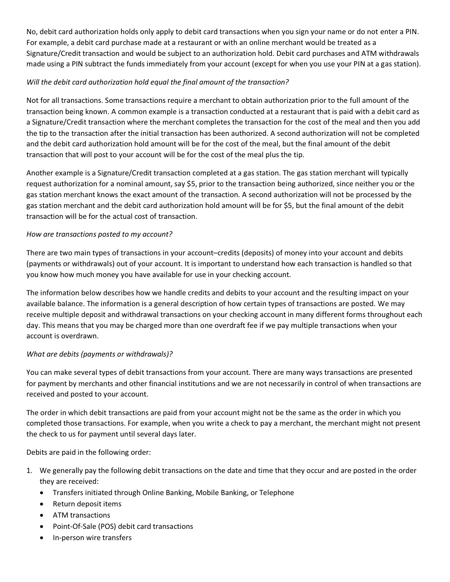No, debit card authorization holds only apply to debit card transactions when you sign your name or do not enter a PIN. For example, a debit card purchase made at a restaurant or with an online merchant would be treated as a Signature/Credit transaction and would be subject to an authorization hold. Debit card purchases and ATM withdrawals made using a PIN subtract the funds immediately from your account (except for when you use your PIN at a gas station).

# *Will the debit card authorization hold equal the final amount of the transaction?*

Not for all transactions. Some transactions require a merchant to obtain authorization prior to the full amount of the transaction being known. A common example is a transaction conducted at a restaurant that is paid with a debit card as a Signature/Credit transaction where the merchant completes the transaction for the cost of the meal and then you add the tip to the transaction after the initial transaction has been authorized. A second authorization will not be completed and the debit card authorization hold amount will be for the cost of the meal, but the final amount of the debit transaction that will post to your account will be for the cost of the meal plus the tip.

Another example is a Signature/Credit transaction completed at a gas station. The gas station merchant will typically request authorization for a nominal amount, say \$5, prior to the transaction being authorized, since neither you or the gas station merchant knows the exact amount of the transaction. A second authorization will not be processed by the gas station merchant and the debit card authorization hold amount will be for \$5, but the final amount of the debit transaction will be for the actual cost of transaction.

## *How are transactions posted to my account?*

There are two main types of transactions in your account–credits (deposits) of money into your account and debits (payments or withdrawals) out of your account. It is important to understand how each transaction is handled so that you know how much money you have available for use in your checking account.

The information below describes how we handle credits and debits to your account and the resulting impact on your available balance. The information is a general description of how certain types of transactions are posted. We may receive multiple deposit and withdrawal transactions on your checking account in many different forms throughout each day. This means that you may be charged more than one overdraft fee if we pay multiple transactions when your account is overdrawn.

## *What are debits (payments or withdrawals)?*

You can make several types of debit transactions from your account. There are many ways transactions are presented for payment by merchants and other financial institutions and we are not necessarily in control of when transactions are received and posted to your account.

The order in which debit transactions are paid from your account might not be the same as the order in which you completed those transactions. For example, when you write a check to pay a merchant, the merchant might not present the check to us for payment until several days later.

Debits are paid in the following order:

- 1. We generally pay the following debit transactions on the date and time that they occur and are posted in the order they are received:
	- � Transfers initiated through Online Banking, Mobile Banking, or Telephone
	- Return deposit items
	- � ATM transactions
	- Point-Of-Sale (POS) debit card transactions
	- In-person wire transfers